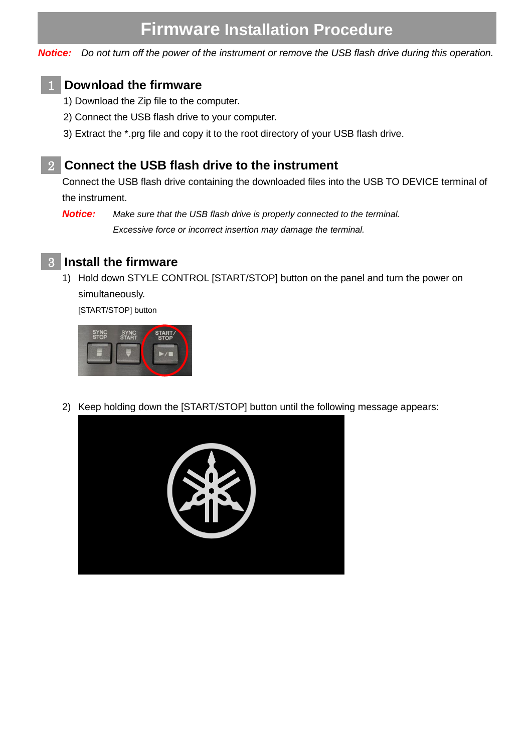# **Firmware Installation Procedure**

*Notice: Do not turn off the power of the instrument or remove the USB flash drive during this operation.*

#### **Download the firmware** 1

- 1) Download the Zip file to the computer.
- 2) Connect the USB flash drive to your computer.
- 3) Extract the \*.prg file and copy it to the root directory of your USB flash drive.

#### **Connect the USB flash drive to the instrument** 2

Connect the USB flash drive containing the downloaded files into the USB TO DEVICE terminal of the instrument.

*Notice: Make sure that the USB flash drive is properly connected to the terminal. Excessive force or incorrect insertion may damage the terminal.*



1) Hold down STYLE CONTROL [START/STOP] button on the panel and turn the power on simultaneously.

[START/STOP] button



2) Keep holding down the [START/STOP] button until the following message appears:

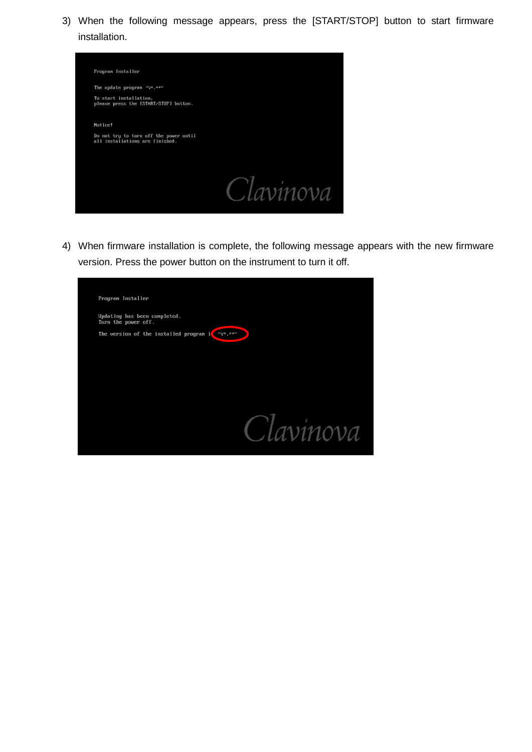3) When the following message appears, press the [START/STOP] button to start firmware installation.



4) When firmware installation is complete, the following message appears with the new firmware version. Press the power button on the instrument to turn it off.